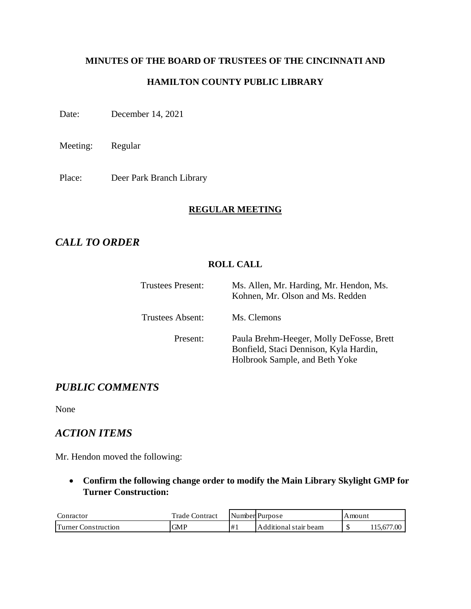# **MINUTES OF THE BOARD OF TRUSTEES OF THE CINCINNATI AND HAMILTON COUNTY PUBLIC LIBRARY**

Date: December 14, 2021

Meeting: Regular

Place: Deer Park Branch Library

#### **REGULAR MEETING**

# *CALL TO ORDER*

#### **ROLL CALL**

| <b>Trustees Present:</b> | Ms. Allen, Mr. Harding, Mr. Hendon, Ms.<br>Kohnen, Mr. Olson and Ms. Redden                                          |
|--------------------------|----------------------------------------------------------------------------------------------------------------------|
| <b>Trustees Absent:</b>  | Ms. Clemons                                                                                                          |
| Present:                 | Paula Brehm-Heeger, Molly DeFosse, Brett<br>Bonfield, Staci Dennison, Kyla Hardin,<br>Holbrook Sample, and Beth Yoke |

# *PUBLIC COMMENTS*

None

#### *ACTION ITEMS*

Mr. Hendon moved the following:

• **Confirm the following change order to modify the Main Library Skylight GMP for Turner Construction:**

| Conractor                 | <b>Trade Contract</b> |    | Number Purpose          | Amount |                 |
|---------------------------|-----------------------|----|-------------------------|--------|-----------------|
| .\onstruction<br>'urner ( | GMP                   | #1 | I Additional stair beam | мD     | .15.677<br>7.00 |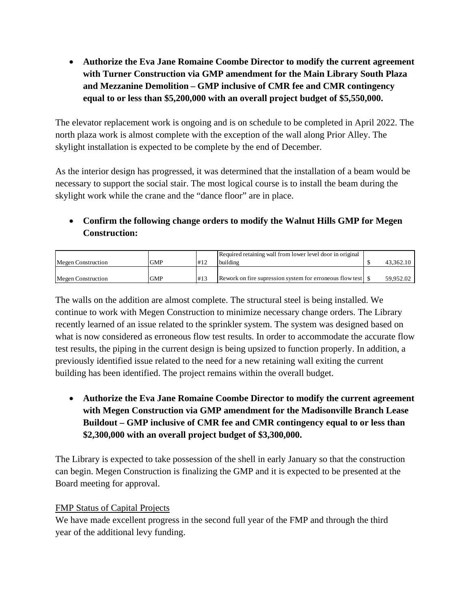• **Authorize the Eva Jane Romaine Coombe Director to modify the current agreement with Turner Construction via GMP amendment for the Main Library South Plaza and Mezzanine Demolition – GMP inclusive of CMR fee and CMR contingency equal to or less than \$5,200,000 with an overall project budget of \$5,550,000.**

The elevator replacement work is ongoing and is on schedule to be completed in April 2022. The north plaza work is almost complete with the exception of the wall along Prior Alley. The skylight installation is expected to be complete by the end of December.

As the interior design has progressed, it was determined that the installation of a beam would be necessary to support the social stair. The most logical course is to install the beam during the skylight work while the crane and the "dance floor" are in place.

# • **Confirm the following change orders to modify the Walnut Hills GMP for Megen Construction:**

|                           |            |     | Required retaining wall from lower level door in original |           |
|---------------------------|------------|-----|-----------------------------------------------------------|-----------|
| <b>Megen Construction</b> | <b>GMP</b> | #12 | <b>building</b>                                           | 43.362.10 |
|                           |            |     |                                                           |           |
| Megen Construction        | <b>GMP</b> | #13 |                                                           | 59.952.02 |

The walls on the addition are almost complete. The structural steel is being installed. We continue to work with Megen Construction to minimize necessary change orders. The Library recently learned of an issue related to the sprinkler system. The system was designed based on what is now considered as erroneous flow test results. In order to accommodate the accurate flow test results, the piping in the current design is being upsized to function properly. In addition, a previously identified issue related to the need for a new retaining wall exiting the current building has been identified. The project remains within the overall budget.

• **Authorize the Eva Jane Romaine Coombe Director to modify the current agreement with Megen Construction via GMP amendment for the Madisonville Branch Lease Buildout – GMP inclusive of CMR fee and CMR contingency equal to or less than \$2,300,000 with an overall project budget of \$3,300,000.**

The Library is expected to take possession of the shell in early January so that the construction can begin. Megen Construction is finalizing the GMP and it is expected to be presented at the Board meeting for approval.

#### FMP Status of Capital Projects

We have made excellent progress in the second full year of the FMP and through the third year of the additional levy funding.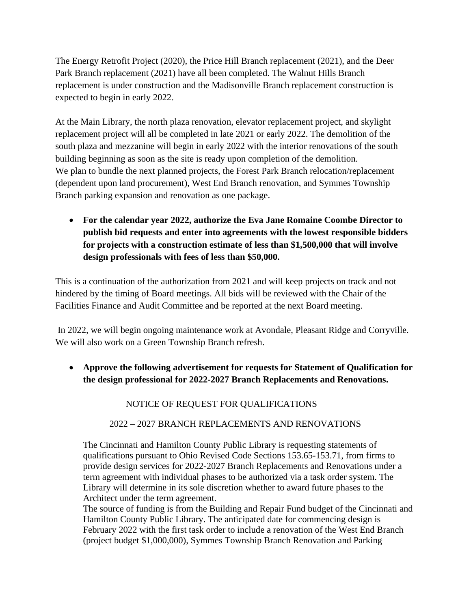The Energy Retrofit Project (2020), the Price Hill Branch replacement (2021), and the Deer Park Branch replacement (2021) have all been completed. The Walnut Hills Branch replacement is under construction and the Madisonville Branch replacement construction is expected to begin in early 2022.

At the Main Library, the north plaza renovation, elevator replacement project, and skylight replacement project will all be completed in late 2021 or early 2022. The demolition of the south plaza and mezzanine will begin in early 2022 with the interior renovations of the south building beginning as soon as the site is ready upon completion of the demolition. We plan to bundle the next planned projects, the Forest Park Branch relocation/replacement (dependent upon land procurement), West End Branch renovation, and Symmes Township Branch parking expansion and renovation as one package.

• **For the calendar year 2022, authorize the Eva Jane Romaine Coombe Director to publish bid requests and enter into agreements with the lowest responsible bidders for projects with a construction estimate of less than \$1,500,000 that will involve design professionals with fees of less than \$50,000.** 

This is a continuation of the authorization from 2021 and will keep projects on track and not hindered by the timing of Board meetings. All bids will be reviewed with the Chair of the Facilities Finance and Audit Committee and be reported at the next Board meeting.

In 2022, we will begin ongoing maintenance work at Avondale, Pleasant Ridge and Corryville. We will also work on a Green Township Branch refresh.

• **Approve the following advertisement for requests for Statement of Qualification for the design professional for 2022-2027 Branch Replacements and Renovations.**

#### NOTICE OF REQUEST FOR QUALIFICATIONS

#### 2022 – 2027 BRANCH REPLACEMENTS AND RENOVATIONS

The Cincinnati and Hamilton County Public Library is requesting statements of qualifications pursuant to Ohio Revised Code Sections 153.65-153.71, from firms to provide design services for 2022-2027 Branch Replacements and Renovations under a term agreement with individual phases to be authorized via a task order system. The Library will determine in its sole discretion whether to award future phases to the Architect under the term agreement.

The source of funding is from the Building and Repair Fund budget of the Cincinnati and Hamilton County Public Library. The anticipated date for commencing design is February 2022 with the first task order to include a renovation of the West End Branch (project budget \$1,000,000), Symmes Township Branch Renovation and Parking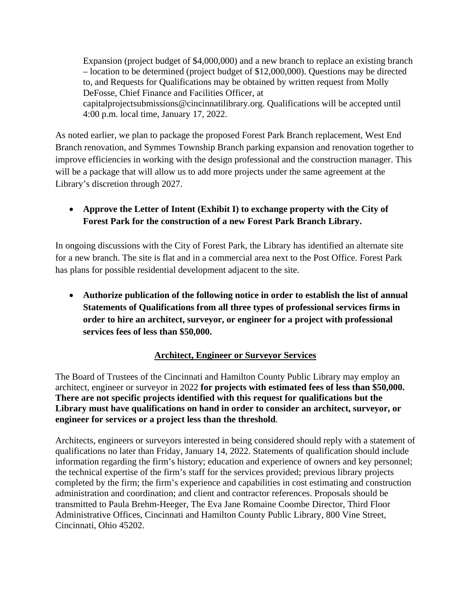Expansion (project budget of \$4,000,000) and a new branch to replace an existing branch – location to be determined (project budget of \$12,000,000). Questions may be directed to, and Requests for Qualifications may be obtained by written request from Molly DeFosse, Chief Finance and Facilities Officer, at [capitalprojectsubmissions@cincinnatilibrary.org.](mailto:capitalprojectsubmissions@cincinnatilibrary.org) Qualifications will be accepted until 4:00 p.m. local time, January 17, 2022.

As noted earlier, we plan to package the proposed Forest Park Branch replacement, West End Branch renovation, and Symmes Township Branch parking expansion and renovation together to improve efficiencies in working with the design professional and the construction manager. This will be a package that will allow us to add more projects under the same agreement at the Library's discretion through 2027.

### • **Approve the Letter of Intent (Exhibit I) to exchange property with the City of Forest Park for the construction of a new Forest Park Branch Library.**

In ongoing discussions with the City of Forest Park, the Library has identified an alternate site for a new branch. The site is flat and in a commercial area next to the Post Office. Forest Park has plans for possible residential development adjacent to the site.

• **Authorize publication of the following notice in order to establish the list of annual Statements of Qualifications from all three types of professional services firms in order to hire an architect, surveyor, or engineer for a project with professional services fees of less than \$50,000.** 

#### **Architect, Engineer or Surveyor Services**

The Board of Trustees of the Cincinnati and Hamilton County Public Library may employ an architect, engineer or surveyor in 2022 **for projects with estimated fees of less than \$50,000. There are not specific projects identified with this request for qualifications but the Library must have qualifications on hand in order to consider an architect, surveyor, or engineer for services or a project less than the threshold**.

Architects, engineers or surveyors interested in being considered should reply with a statement of qualifications no later than Friday, January 14, 2022. Statements of qualification should include information regarding the firm's history; education and experience of owners and key personnel; the technical expertise of the firm's staff for the services provided; previous library projects completed by the firm; the firm's experience and capabilities in cost estimating and construction administration and coordination; and client and contractor references. Proposals should be transmitted to Paula Brehm-Heeger, The Eva Jane Romaine Coombe Director, Third Floor Administrative Offices, Cincinnati and Hamilton County Public Library, 800 Vine Street, Cincinnati, Ohio 45202.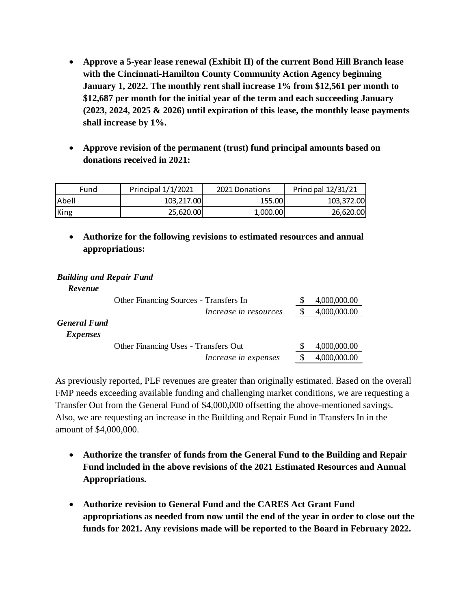- **Approve a 5-year lease renewal (Exhibit II) of the current Bond Hill Branch lease with the Cincinnati-Hamilton County Community Action Agency beginning January 1, 2022. The monthly rent shall increase 1% from \$12,561 per month to \$12,687 per month for the initial year of the term and each succeeding January (2023, 2024, 2025 & 2026) until expiration of this lease, the monthly lease payments shall increase by 1%.**
- **Approve revision of the permanent (trust) fund principal amounts based on donations received in 2021:**

| Fund   | Principal 1/1/2021 | 2021 Donations | Principal 12/31/21 |
|--------|--------------------|----------------|--------------------|
| lAbell | 103.217.00         | 155.00         | 103,372.00         |
| King   | 25,620.00          | 1,000.00       | 26,620.00          |

• **Authorize for the following revisions to estimated resources and annual appropriations:**

#### *Building and Repair Fund*

*Revenue*

|                                        | Other Financing Sources - Transfers In | 4,000,000.00 |
|----------------------------------------|----------------------------------------|--------------|
|                                        | Increase in resources                  | 4,000,000.00 |
| <b>General Fund</b><br><i>Expenses</i> |                                        |              |
|                                        | Other Financing Uses - Transfers Out   | 4,000,000.00 |
|                                        | Increase in expenses                   | 4,000,000.00 |
|                                        |                                        |              |

As previously reported, PLF revenues are greater than originally estimated. Based on the overall FMP needs exceeding available funding and challenging market conditions, we are requesting a Transfer Out from the General Fund of \$4,000,000 offsetting the above-mentioned savings. Also, we are requesting an increase in the Building and Repair Fund in Transfers In in the amount of \$4,000,000.

- **Authorize the transfer of funds from the General Fund to the Building and Repair Fund included in the above revisions of the 2021 Estimated Resources and Annual Appropriations.**
- **Authorize revision to General Fund and the CARES Act Grant Fund appropriations as needed from now until the end of the year in order to close out the funds for 2021. Any revisions made will be reported to the Board in February 2022.**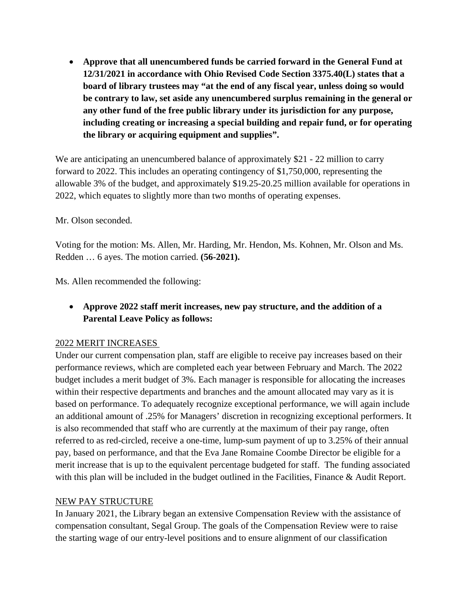• **Approve that all unencumbered funds be carried forward in the General Fund at 12/31/2021 in accordance with Ohio Revised Code Section 3375.40(L) states that a board of library trustees may "at the end of any fiscal year, unless doing so would be contrary to law, set aside any unencumbered surplus remaining in the general or any other fund of the free public library under its jurisdiction for any purpose, including creating or increasing a special building and repair fund, or for operating the library or acquiring equipment and supplies".**

We are anticipating an unencumbered balance of approximately \$21 - 22 million to carry forward to 2022. This includes an operating contingency of \$1,750,000, representing the allowable 3% of the budget, and approximately \$19.25-20.25 million available for operations in 2022, which equates to slightly more than two months of operating expenses.

#### Mr. Olson seconded.

Voting for the motion: Ms. Allen, Mr. Harding, Mr. Hendon, Ms. Kohnen, Mr. Olson and Ms. Redden … 6 ayes. The motion carried. **(56-2021).**

Ms. Allen recommended the following:

• **Approve 2022 staff merit increases, new pay structure, and the addition of a Parental Leave Policy as follows:**

#### 2022 MERIT INCREASES

Under our current compensation plan, staff are eligible to receive pay increases based on their performance reviews, which are completed each year between February and March. The 2022 budget includes a merit budget of 3%. Each manager is responsible for allocating the increases within their respective departments and branches and the amount allocated may vary as it is based on performance. To adequately recognize exceptional performance, we will again include an additional amount of .25% for Managers' discretion in recognizing exceptional performers. It is also recommended that staff who are currently at the maximum of their pay range, often referred to as red-circled, receive a one-time, lump-sum payment of up to 3.25% of their annual pay, based on performance, and that the Eva Jane Romaine Coombe Director be eligible for a merit increase that is up to the equivalent percentage budgeted for staff. The funding associated with this plan will be included in the budget outlined in the Facilities, Finance & Audit Report.

#### NEW PAY STRUCTURE

In January 2021, the Library began an extensive Compensation Review with the assistance of compensation consultant, Segal Group. The goals of the Compensation Review were to raise the starting wage of our entry-level positions and to ensure alignment of our classification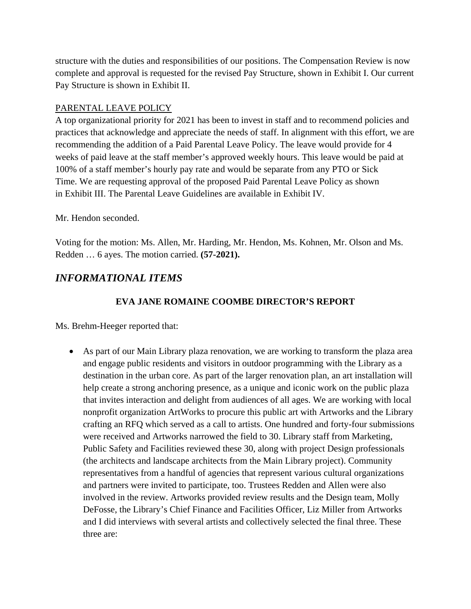structure with the duties and responsibilities of our positions. The Compensation Review is now complete and approval is requested for the revised Pay Structure, shown in Exhibit I. Our current Pay Structure is shown in Exhibit II.

#### PARENTAL LEAVE POLICY

A top organizational priority for 2021 has been to invest in staff and to recommend policies and practices that acknowledge and appreciate the needs of staff. In alignment with this effort, we are recommending the addition of a Paid Parental Leave Policy. The leave would provide for 4 weeks of paid leave at the staff member's approved weekly hours. This leave would be paid at 100% of a staff member's hourly pay rate and would be separate from any PTO or Sick Time. We are requesting approval of the proposed Paid Parental Leave Policy as shown in Exhibit III. The Parental Leave Guidelines are available in Exhibit IV.

#### Mr. Hendon seconded.

Voting for the motion: Ms. Allen, Mr. Harding, Mr. Hendon, Ms. Kohnen, Mr. Olson and Ms. Redden … 6 ayes. The motion carried. **(57-2021).**

# *INFORMATIONAL ITEMS*

## **EVA JANE ROMAINE COOMBE DIRECTOR'S REPORT**

Ms. Brehm-Heeger reported that:

• As part of our Main Library plaza renovation, we are working to transform the plaza area and engage public residents and visitors in outdoor programming with the Library as a destination in the urban core. As part of the larger renovation plan, an art installation will help create a strong anchoring presence, as a unique and iconic work on the public plaza that invites interaction and delight from audiences of all ages. We are working with local nonprofit organization ArtWorks to procure this public art with Artworks and the Library crafting an RFQ which served as a call to artists. One hundred and forty-four submissions were received and Artworks narrowed the field to 30. Library staff from Marketing, Public Safety and Facilities reviewed these 30, along with project Design professionals (the architects and landscape architects from the Main Library project). Community representatives from a handful of agencies that represent various cultural organizations and partners were invited to participate, too. Trustees Redden and Allen were also involved in the review. Artworks provided review results and the Design team, Molly DeFosse, the Library's Chief Finance and Facilities Officer, Liz Miller from Artworks and I did interviews with several artists and collectively selected the final three. These three are: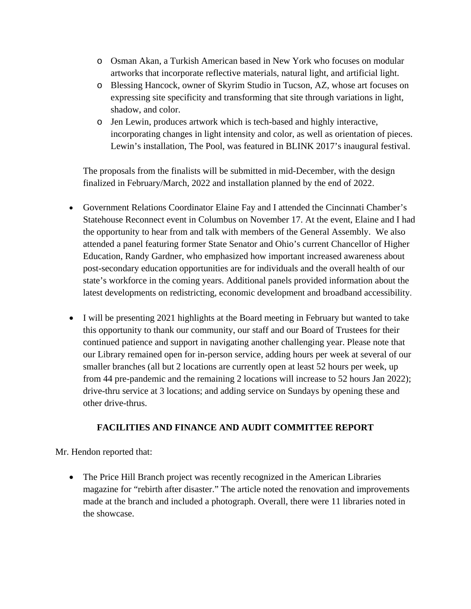- o Osman Akan, a Turkish American based in New York who focuses on modular artworks that incorporate reflective materials, natural light, and artificial light.
- o Blessing Hancock, owner of Skyrim Studio in Tucson, AZ, whose art focuses on expressing site specificity and transforming that site through variations in light, shadow, and color.
- o Jen Lewin, produces artwork which is tech-based and highly interactive, incorporating changes in light intensity and color, as well as orientation of pieces. Lewin's installation, The Pool, was featured in BLINK 2017's inaugural festival.

The proposals from the finalists will be submitted in mid-December, with the design finalized in February/March, 2022 and installation planned by the end of 2022.

- Government Relations Coordinator Elaine Fay and I attended the Cincinnati Chamber's Statehouse Reconnect event in Columbus on November 17. At the event, Elaine and I had the opportunity to hear from and talk with members of the General Assembly. We also attended a panel featuring former State Senator and Ohio's current Chancellor of Higher Education, Randy Gardner, who emphasized how important increased awareness about post-secondary education opportunities are for individuals and the overall health of our state's workforce in the coming years. Additional panels provided information about the latest developments on redistricting, economic development and broadband accessibility.
- I will be presenting 2021 highlights at the Board meeting in February but wanted to take this opportunity to thank our community, our staff and our Board of Trustees for their continued patience and support in navigating another challenging year. Please note that our Library remained open for in-person service, adding hours per week at several of our smaller branches (all but 2 locations are currently open at least 52 hours per week, up from 44 pre-pandemic and the remaining 2 locations will increase to 52 hours Jan 2022); drive-thru service at 3 locations; and adding service on Sundays by opening these and other drive-thrus.

#### **FACILITIES AND FINANCE AND AUDIT COMMITTEE REPORT**

Mr. Hendon reported that:

• The Price Hill Branch project was recently recognized in the American Libraries magazine for "rebirth after disaster." The article noted the renovation and improvements made at the branch and included a photograph. Overall, there were 11 libraries noted in the showcase.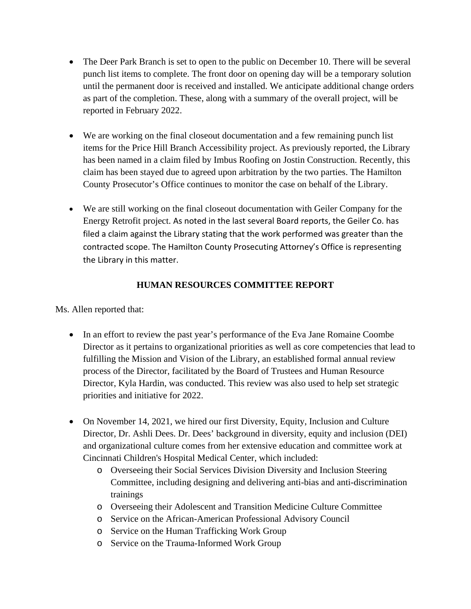- The Deer Park Branch is set to open to the public on December 10. There will be several punch list items to complete. The front door on opening day will be a temporary solution until the permanent door is received and installed. We anticipate additional change orders as part of the completion. These, along with a summary of the overall project, will be reported in February 2022.
- We are working on the final closeout documentation and a few remaining punch list items for the Price Hill Branch Accessibility project. As previously reported, the Library has been named in a claim filed by Imbus Roofing on Jostin Construction. Recently, this claim has been stayed due to agreed upon arbitration by the two parties. The Hamilton County Prosecutor's Office continues to monitor the case on behalf of the Library.
- We are still working on the final closeout documentation with Geiler Company for the Energy Retrofit project. As noted in the last several Board reports, the Geiler Co. has filed a claim against the Library stating that the work performed was greater than the contracted scope. The Hamilton County Prosecuting Attorney's Office is representing the Library in this matter.

#### **HUMAN RESOURCES COMMITTEE REPORT**

Ms. Allen reported that:

- In an effort to review the past year's performance of the Eva Jane Romaine Coombe Director as it pertains to organizational priorities as well as core competencies that lead to fulfilling the Mission and Vision of the Library, an established formal annual review process of the Director, facilitated by the Board of Trustees and Human Resource Director, Kyla Hardin, was conducted. This review was also used to help set strategic priorities and initiative for 2022.
- On November 14, 2021, we hired our first Diversity, Equity, Inclusion and Culture Director, Dr. Ashli Dees. Dr. Dees' background in diversity, equity and inclusion (DEI) and organizational culture comes from her extensive education and committee work at Cincinnati Children's Hospital Medical Center, which included:
	- o Overseeing their Social Services Division Diversity and Inclusion Steering Committee, including designing and delivering anti-bias and anti-discrimination trainings
	- o Overseeing their Adolescent and Transition Medicine Culture Committee
	- o Service on the African-American Professional Advisory Council
	- o Service on the Human Trafficking Work Group
	- o Service on the Trauma-Informed Work Group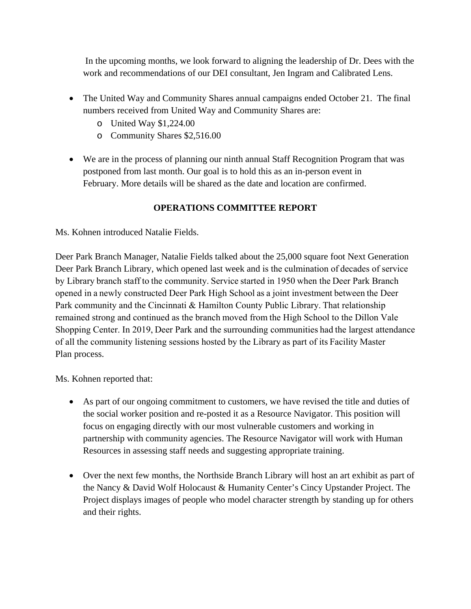In the upcoming months, we look forward to aligning the leadership of Dr. Dees with the work and recommendations of our DEI consultant, Jen Ingram and Calibrated Lens.

- The United Way and Community Shares annual campaigns ended October 21. The final numbers received from United Way and Community Shares are:
	- o United Way \$1,224.00
	- o Community Shares \$2,516.00
- We are in the process of planning our ninth annual Staff Recognition Program that was postponed from last month. Our goal is to hold this as an in-person event in February. More details will be shared as the date and location are confirmed.

# **OPERATIONS COMMITTEE REPORT**

Ms. Kohnen introduced Natalie Fields.

Deer Park Branch Manager, Natalie Fields talked about the 25,000 square foot Next Generation Deer Park Branch Library, which [opened last week](https://rufus.plch.net/Engage/News-Updates-Blog/senior-leadership-team-weekly-perspective-dec-10-with-chris-holt) and is the culmination of decades of service by Library branch staff to the community. Service started in 1950 when the Deer Park Branch opened in a newly constructed Deer Park High School as a joint investment between the Deer Park community and the Cincinnati & Hamilton County Public Library. That relationship remained strong and continued as the branch moved from the High School to the Dillon Vale Shopping Center. In 2019, Deer Park and the surrounding communities had the largest attendance of all the community listening sessions hosted by the Library as part of its Facility Master Plan process.

Ms. Kohnen reported that:

- As part of our ongoing commitment to customers, we have revised the title and duties of the social worker position and re-posted it as a Resource Navigator. This position will focus on engaging directly with our most vulnerable customers and working in partnership with community agencies. The Resource Navigator will work with Human Resources in assessing staff needs and suggesting appropriate training.
- Over the next few months, the Northside Branch Library will host an art exhibit as part of the Nancy & David Wolf Holocaust & Humanity Center's Cincy Upstander Project. The Project displays images of people who model character strength by standing up for others and their rights.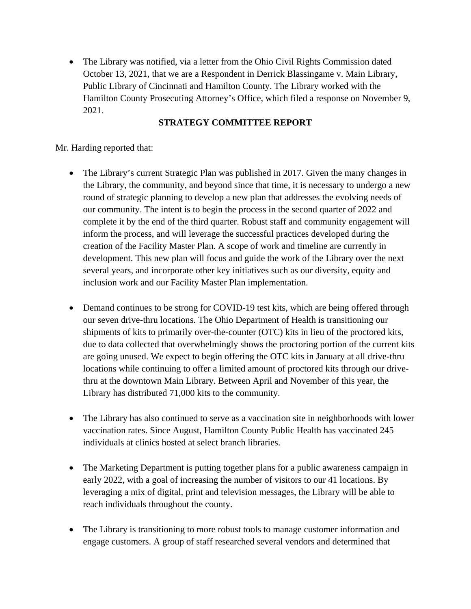• The Library was notified, via a letter from the Ohio Civil Rights Commission dated October 13, 2021, that we are a Respondent in Derrick Blassingame v. Main Library, Public Library of Cincinnati and Hamilton County. The Library worked with the Hamilton County Prosecuting Attorney's Office, which filed a response on November 9, 2021.

#### **STRATEGY COMMITTEE REPORT**

Mr. Harding reported that:

- The Library's current Strategic Plan was published in 2017. Given the many changes in the Library, the community, and beyond since that time, it is necessary to undergo a new round of strategic planning to develop a new plan that addresses the evolving needs of our community. The intent is to begin the process in the second quarter of 2022 and complete it by the end of the third quarter. Robust staff and community engagement will inform the process, and will leverage the successful practices developed during the creation of the Facility Master Plan. A scope of work and timeline are currently in development. This new plan will focus and guide the work of the Library over the next several years, and incorporate other key initiatives such as our diversity, equity and inclusion work and our Facility Master Plan implementation.
- Demand continues to be strong for COVID-19 test kits, which are being offered through our seven drive-thru locations. The Ohio Department of Health is transitioning our shipments of kits to primarily over-the-counter (OTC) kits in lieu of the proctored kits, due to data collected that overwhelmingly shows the proctoring portion of the current kits are going unused. We expect to begin offering the OTC kits in January at all drive-thru locations while continuing to offer a limited amount of proctored kits through our drivethru at the downtown Main Library. Between April and November of this year, the Library has distributed 71,000 kits to the community.
- The Library has also continued to serve as a vaccination site in neighborhoods with lower vaccination rates. Since August, Hamilton County Public Health has vaccinated 245 individuals at clinics hosted at select branch libraries.
- The Marketing Department is putting together plans for a public awareness campaign in early 2022, with a goal of increasing the number of visitors to our 41 locations. By leveraging a mix of digital, print and television messages, the Library will be able to reach individuals throughout the county.
- The Library is transitioning to more robust tools to manage customer information and engage customers. A group of staff researched several vendors and determined that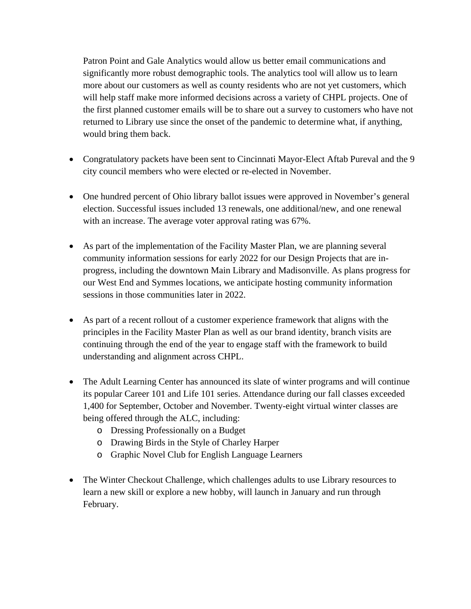Patron Point and Gale Analytics would allow us better email communications and significantly more robust demographic tools. The analytics tool will allow us to learn more about our customers as well as county residents who are not yet customers, which will help staff make more informed decisions across a variety of CHPL projects. One of the first planned customer emails will be to share out a survey to customers who have not returned to Library use since the onset of the pandemic to determine what, if anything, would bring them back.

- Congratulatory packets have been sent to Cincinnati Mayor-Elect Aftab Pureval and the 9 city council members who were elected or re-elected in November.
- One hundred percent of Ohio library ballot issues were approved in November's general election. Successful issues included 13 renewals, one additional/new, and one renewal with an increase. The average voter approval rating was 67%.
- As part of the implementation of the Facility Master Plan, we are planning several community information sessions for early 2022 for our Design Projects that are inprogress, including the downtown Main Library and Madisonville. As plans progress for our West End and Symmes locations, we anticipate hosting community information sessions in those communities later in 2022.
- As part of a recent rollout of a customer experience framework that aligns with the principles in the Facility Master Plan as well as our brand identity, branch visits are continuing through the end of the year to engage staff with the framework to build understanding and alignment across CHPL.
- The Adult Learning Center has announced its slate of winter programs and will continue its popular Career 101 and Life 101 series. Attendance during our fall classes exceeded 1,400 for September, October and November. Twenty-eight virtual winter classes are being offered through the ALC, including:
	- o Dressing Professionally on a Budget
	- o Drawing Birds in the Style of Charley Harper
	- o Graphic Novel Club for English Language Learners
- The Winter Checkout Challenge, which challenges adults to use Library resources to learn a new skill or explore a new hobby, will launch in January and run through February.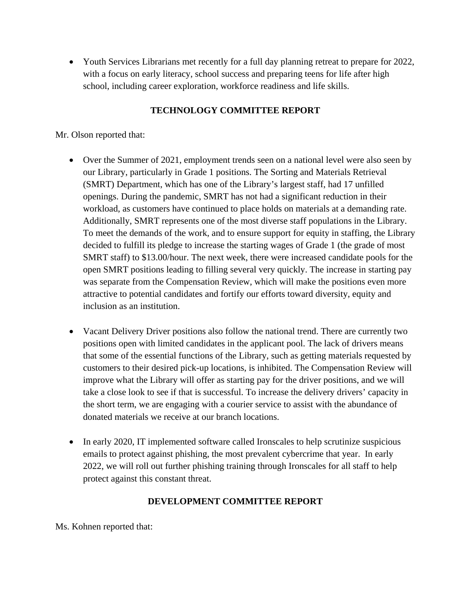• Youth Services Librarians met recently for a full day planning retreat to prepare for 2022, with a focus on early literacy, school success and preparing teens for life after high school, including career exploration, workforce readiness and life skills.

#### **TECHNOLOGY COMMITTEE REPORT**

#### Mr. Olson reported that:

- Over the Summer of 2021, employment trends seen on a national level were also seen by our Library, particularly in Grade 1 positions. The Sorting and Materials Retrieval (SMRT) Department, which has one of the Library's largest staff, had 17 unfilled openings. During the pandemic, SMRT has not had a significant reduction in their workload, as customers have continued to place holds on materials at a demanding rate. Additionally, SMRT represents one of the most diverse staff populations in the Library. To meet the demands of the work, and to ensure support for equity in staffing, the Library decided to fulfill its pledge to increase the starting wages of Grade 1 (the grade of most SMRT staff) to \$13.00/hour. The next week, there were increased candidate pools for the open SMRT positions leading to filling several very quickly. The increase in starting pay was separate from the Compensation Review, which will make the positions even more attractive to potential candidates and fortify our efforts toward diversity, equity and inclusion as an institution.
- Vacant Delivery Driver positions also follow the national trend. There are currently two positions open with limited candidates in the applicant pool. The lack of drivers means that some of the essential functions of the Library, such as getting materials requested by customers to their desired pick-up locations, is inhibited. The Compensation Review will improve what the Library will offer as starting pay for the driver positions, and we will take a close look to see if that is successful. To increase the delivery drivers' capacity in the short term, we are engaging with a courier service to assist with the abundance of donated materials we receive at our branch locations.
- In early 2020, IT implemented software called Ironscales to help scrutinize suspicious emails to protect against phishing, the most prevalent cybercrime that year. In early 2022, we will roll out further phishing training through Ironscales for all staff to help protect against this constant threat.

#### **DEVELOPMENT COMMITTEE REPORT**

Ms. Kohnen reported that: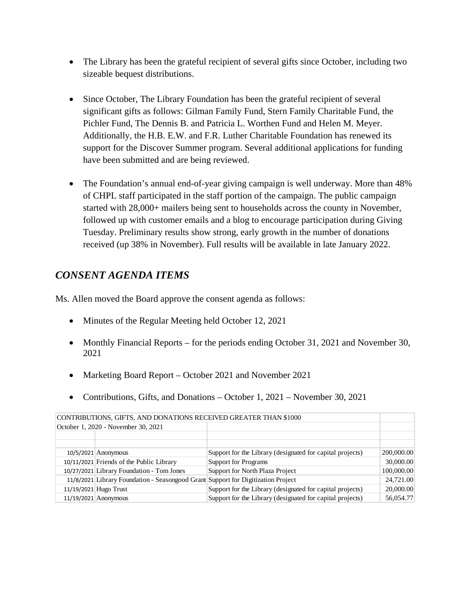- The Library has been the grateful recipient of several gifts since October, including two sizeable bequest distributions.
- Since October, The Library Foundation has been the grateful recipient of several significant gifts as follows: Gilman Family Fund, Stern Family Charitable Fund, the Pichler Fund, The Dennis B. and Patricia L. Worthen Fund and Helen M. Meyer. Additionally, the H.B. E.W. and F.R. Luther Charitable Foundation has renewed its support for the Discover Summer program. Several additional applications for funding have been submitted and are being reviewed.
- The Foundation's annual end-of-year giving campaign is well underway. More than 48% of CHPL staff participated in the staff portion of the campaign. The public campaign started with 28,000+ mailers being sent to households across the county in November, followed up with customer emails and a blog to encourage participation during Giving Tuesday. Preliminary results show strong, early growth in the number of donations received (up 38% in November). Full results will be available in late January 2022.

# *CONSENT AGENDA ITEMS*

Ms. Allen moved the Board approve the consent agenda as follows:

- Minutes of the Regular Meeting held October 12, 2021
- Monthly Financial Reports for the periods ending October 31, 2021 and November 30, 2021
- Marketing Board Report October 2021 and November 2021
- Contributions, Gifts, and Donations October 1, 2021 November 30, 2021

|  | October 1, 2020 - November 30, 2021                                              |                                                           |            |  |  |
|--|----------------------------------------------------------------------------------|-----------------------------------------------------------|------------|--|--|
|  |                                                                                  |                                                           |            |  |  |
|  |                                                                                  |                                                           |            |  |  |
|  | $10/5/2021$ Anonymous                                                            | Support for the Library (designated for capital projects) | 200,000.00 |  |  |
|  | 10/11/2021 Friends of the Public Library                                         | <b>Support for Programs</b>                               | 30,000.00  |  |  |
|  | 10/27/2021 Library Foundation - Tom Jones                                        | Support for North Plaza Project                           | 100,000.00 |  |  |
|  | 11/8/2021 Library Foundation - Seasongood Grant Support for Digitization Project |                                                           | 24,721.00  |  |  |
|  | 11/19/2021 Hugo Trust                                                            | Support for the Library (designated for capital projects) | 20,000.00  |  |  |
|  | 11/19/2021 Anonymous                                                             | Support for the Library (designated for capital projects) | 56,054.77  |  |  |

CONTRIBUTIONS, GIFTS, AND DONATIONS RECEIVED GREATER THAN \$1000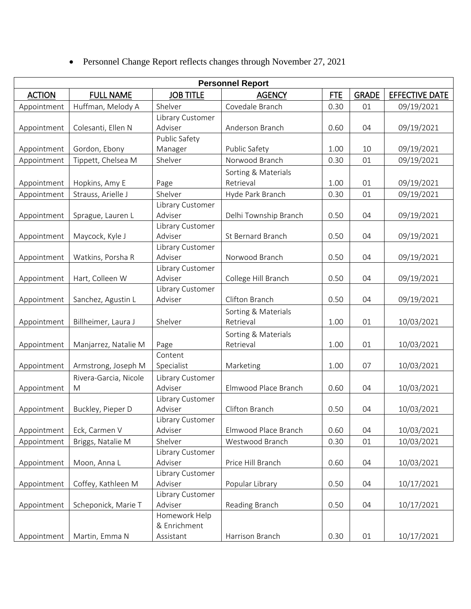• Personnel Change Report reflects changes through November 27, 2021

| <b>Personnel Report</b> |                       |                             |                                  |            |              |                       |
|-------------------------|-----------------------|-----------------------------|----------------------------------|------------|--------------|-----------------------|
| <b>ACTION</b>           | <b>FULL NAME</b>      | <b>JOB TITLE</b>            | <b>AGENCY</b>                    | <b>FTE</b> | <b>GRADE</b> | <b>EFFECTIVE DATE</b> |
| Appointment             | Huffman, Melody A     | Shelver                     | Covedale Branch                  | 0.30       | 01           | 09/19/2021            |
|                         |                       | Library Customer            |                                  |            |              |                       |
| Appointment             | Colesanti, Ellen N    | Adviser                     | Anderson Branch                  | 0.60       | 04           | 09/19/2021            |
|                         |                       | Public Safety               |                                  |            |              |                       |
| Appointment             | Gordon, Ebony         | Manager                     | Public Safety                    | 1.00       | $10\,$       | 09/19/2021            |
| Appointment             | Tippett, Chelsea M    | Shelver                     | Norwood Branch                   | 0.30       | 01           | 09/19/2021            |
|                         |                       |                             | Sorting & Materials              |            |              |                       |
| Appointment             | Hopkins, Amy E        | Page                        | Retrieval                        | 1.00       | 01           | 09/19/2021            |
| Appointment             | Strauss, Arielle J    | Shelver                     | Hyde Park Branch                 | 0.30       | 01           | 09/19/2021            |
|                         |                       | Library Customer            |                                  |            |              |                       |
| Appointment             | Sprague, Lauren L     | Adviser                     | Delhi Township Branch            | 0.50       | 04           | 09/19/2021            |
|                         |                       | Library Customer            |                                  |            |              |                       |
| Appointment             | Maycock, Kyle J       | Adviser                     | St Bernard Branch                | 0.50       | 04           | 09/19/2021            |
|                         |                       | Library Customer            |                                  |            |              |                       |
| Appointment             | Watkins, Porsha R     | Adviser                     | Norwood Branch                   | 0.50       | 04           | 09/19/2021            |
|                         |                       | Library Customer            |                                  |            |              |                       |
| Appointment             | Hart, Colleen W       | Adviser                     | College Hill Branch              | 0.50       | 04           | 09/19/2021            |
|                         | Sanchez, Agustin L    | Library Customer<br>Adviser | Clifton Branch                   | 0.50       | 04           | 09/19/2021            |
| Appointment             |                       |                             |                                  |            |              |                       |
|                         |                       | Shelver                     | Sorting & Materials<br>Retrieval | 1.00       | 01           |                       |
| Appointment             | Billheimer, Laura J   |                             |                                  |            |              | 10/03/2021            |
|                         |                       |                             | Sorting & Materials              |            |              |                       |
| Appointment             | Manjarrez, Natalie M  | Page<br>Content             | Retrieval                        | 1.00       | 01           | 10/03/2021            |
| Appointment             | Armstrong, Joseph M   | Specialist                  | Marketing                        | 1.00       | 07           | 10/03/2021            |
|                         |                       |                             |                                  |            |              |                       |
|                         | Rivera-Garcia, Nicole | Library Customer<br>Adviser | Elmwood Place Branch             | 0.60       | 04           | 10/03/2021            |
| Appointment             | M                     | Library Customer            |                                  |            |              |                       |
| Appointment             | Buckley, Pieper D     | Adviser                     | Clifton Branch                   | 0.50       | 04           | 10/03/2021            |
|                         |                       | Library Customer            |                                  |            |              |                       |
| Appointment             | Eck, Carmen V         | Adviser                     | Elmwood Place Branch             | 0.60       | 04           | 10/03/2021            |
| Appointment             | Briggs, Natalie M     | Shelver                     | Westwood Branch                  | 0.30       | 01           | 10/03/2021            |
|                         |                       | Library Customer            |                                  |            |              |                       |
| Appointment             | Moon, Anna L          | Adviser                     | Price Hill Branch                | 0.60       | 04           | 10/03/2021            |
|                         |                       | Library Customer            |                                  |            |              |                       |
| Appointment             | Coffey, Kathleen M    | Adviser                     | Popular Library                  | 0.50       | 04           | 10/17/2021            |
|                         |                       | Library Customer            |                                  |            |              |                       |
| Appointment             | Scheponick, Marie T   | Adviser                     | Reading Branch                   | 0.50       | 04           | 10/17/2021            |
|                         |                       | Homework Help               |                                  |            |              |                       |
|                         |                       | & Enrichment                |                                  |            |              |                       |
| Appointment             | Martin, Emma N        | Assistant                   | Harrison Branch                  | 0.30       | 01           | 10/17/2021            |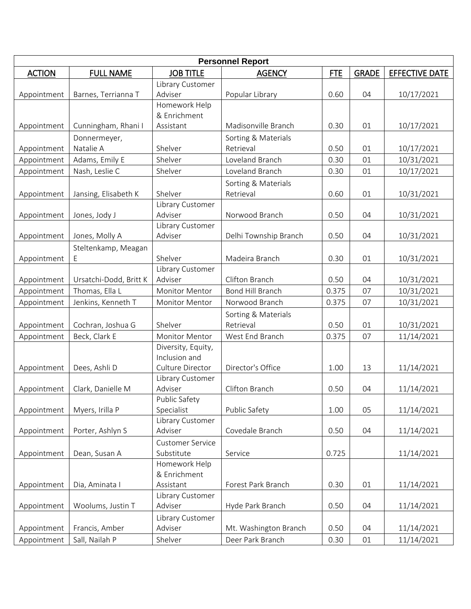| <b>Personnel Report</b> |                        |                         |                       |            |              |                       |
|-------------------------|------------------------|-------------------------|-----------------------|------------|--------------|-----------------------|
| <b>ACTION</b>           | <b>FULL NAME</b>       | <b>JOB TITLE</b>        | <b>AGENCY</b>         | <b>FTE</b> | <b>GRADE</b> | <b>EFFECTIVE DATE</b> |
|                         |                        | Library Customer        |                       |            |              |                       |
| Appointment             | Barnes, Terrianna T    | Adviser                 | Popular Library       | 0.60       | 04           | 10/17/2021            |
|                         |                        | Homework Help           |                       |            |              |                       |
|                         |                        | & Enrichment            |                       |            |              |                       |
| Appointment             | Cunningham, Rhani I    | Assistant               | Madisonville Branch   | 0.30       | 01           | 10/17/2021            |
|                         | Donnermeyer,           |                         | Sorting & Materials   |            |              |                       |
| Appointment             | Natalie A              | Shelver                 | Retrieval             | 0.50       | 01           | 10/17/2021            |
| Appointment             | Adams, Emily E         | Shelver                 | Loveland Branch       | 0.30       | 01           | 10/31/2021            |
| Appointment             | Nash, Leslie C         | Shelver                 | Loveland Branch       | 0.30       | 01           | 10/17/2021            |
|                         |                        |                         | Sorting & Materials   |            |              |                       |
| Appointment             | Jansing, Elisabeth K   | Shelver                 | Retrieval             | 0.60       | 01           | 10/31/2021            |
|                         |                        | Library Customer        |                       |            |              |                       |
| Appointment             | Jones, Jody J          | Adviser                 | Norwood Branch        | 0.50       | 04           | 10/31/2021            |
|                         |                        | Library Customer        |                       |            |              |                       |
| Appointment             | Jones, Molly A         | Adviser                 | Delhi Township Branch | 0.50       | 04           | 10/31/2021            |
|                         | Steltenkamp, Meagan    |                         |                       |            |              |                       |
| Appointment             | Ε                      | Shelver                 | Madeira Branch        | 0.30       | 01           | 10/31/2021            |
|                         |                        | Library Customer        |                       |            |              |                       |
| Appointment             | Ursatchi-Dodd, Britt K | Adviser                 | Clifton Branch        | 0.50       | 04           | 10/31/2021            |
| Appointment             | Thomas, Ella L         | <b>Monitor Mentor</b>   | Bond Hill Branch      | 0.375      | 07           | 10/31/2021            |
| Appointment             | Jenkins, Kenneth T     | <b>Monitor Mentor</b>   | Norwood Branch        | 0.375      | 07           | 10/31/2021            |
|                         |                        |                         | Sorting & Materials   |            |              |                       |
| Appointment             | Cochran, Joshua G      | Shelver                 | Retrieval             | 0.50       | 01           | 10/31/2021            |
| Appointment             | Beck, Clark E          | <b>Monitor Mentor</b>   | West End Branch       | 0.375      | 07           | 11/14/2021            |
|                         |                        | Diversity, Equity,      |                       |            |              |                       |
|                         |                        | Inclusion and           |                       |            |              |                       |
| Appointment             | Dees, Ashli D          | Culture Director        | Director's Office     | 1.00       | 13           | 11/14/2021            |
|                         |                        | Library Customer        |                       |            |              |                       |
| Appointment             | Clark, Danielle M      | Adviser                 | Clifton Branch        | 0.50       | 04           | 11/14/2021            |
|                         |                        | Public Safety           |                       |            |              |                       |
| Appointment             | Myers, Irilla P        | Specialist              | Public Safety         | 1.00       | 05           | 11/14/2021            |
|                         |                        | Library Customer        |                       |            |              |                       |
| Appointment             | Porter, Ashlyn S       | Adviser                 | Covedale Branch       | 0.50       | 04           | 11/14/2021            |
|                         |                        | <b>Customer Service</b> |                       |            |              |                       |
| Appointment             | Dean, Susan A          | Substitute              | Service               | 0.725      |              | 11/14/2021            |
|                         |                        | Homework Help           |                       |            |              |                       |
|                         |                        | & Enrichment            |                       |            |              |                       |
| Appointment             | Dia, Aminata I         | Assistant               | Forest Park Branch    | 0.30       | 01           | 11/14/2021            |
|                         |                        | Library Customer        |                       |            |              |                       |
| Appointment             | Woolums, Justin T      | Adviser                 | Hyde Park Branch      | 0.50       | 04           | 11/14/2021            |
|                         |                        | Library Customer        |                       |            |              |                       |
| Appointment             | Francis, Amber         | Adviser                 | Mt. Washington Branch | 0.50       | 04           | 11/14/2021            |
| Appointment             | Sall, Nailah P         | Shelver                 | Deer Park Branch      | 0.30       | 01           | 11/14/2021            |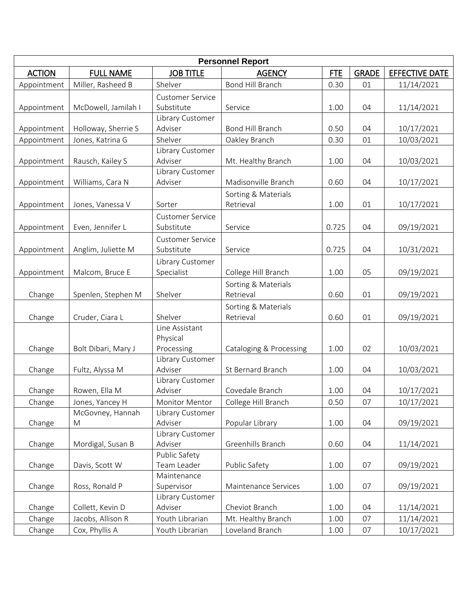| <b>Personnel Report</b> |                     |                             |                         |            |              |                       |
|-------------------------|---------------------|-----------------------------|-------------------------|------------|--------------|-----------------------|
| <b>ACTION</b>           | <b>FULL NAME</b>    | <b>JOB TITLE</b>            | <b>AGENCY</b>           | <b>FTE</b> | <b>GRADE</b> | <b>EFFECTIVE DATE</b> |
| Appointment             | Miller, Rasheed B   | Shelver                     | Bond Hill Branch        | 0.30       | 01           | 11/14/2021            |
|                         |                     | <b>Customer Service</b>     |                         |            |              |                       |
| Appointment             | McDowell, Jamilah I | Substitute                  | Service                 | 1.00       | 04           | 11/14/2021            |
|                         |                     | Library Customer            |                         |            |              |                       |
| Appointment             | Holloway, Sherrie S | Adviser                     | Bond Hill Branch        | 0.50       | 04           | 10/17/2021            |
| Appointment             | Jones, Katrina G    | Shelver                     | Oakley Branch           | 0.30       | 01           | 10/03/2021            |
|                         |                     | Library Customer            |                         |            |              |                       |
| Appointment             | Rausch, Kailey S    | Adviser                     | Mt. Healthy Branch      | 1.00       | 04           | 10/03/2021            |
|                         |                     | Library Customer            |                         |            |              |                       |
| Appointment             | Williams, Cara N    | Adviser                     | Madisonville Branch     | 0.60       | 04           | 10/17/2021            |
|                         |                     |                             | Sorting & Materials     |            |              |                       |
| Appointment             | Jones, Vanessa V    | Sorter                      | Retrieval               | 1.00       | 01           | 10/17/2021            |
|                         |                     | <b>Customer Service</b>     |                         |            |              |                       |
| Appointment             | Even, Jennifer L    | Substitute                  | Service                 | 0.725      | 04           | 09/19/2021            |
|                         |                     | <b>Customer Service</b>     |                         |            |              |                       |
| Appointment             | Anglim, Juliette M  | Substitute                  | Service                 | 0.725      | 04           | 10/31/2021            |
|                         |                     | Library Customer            |                         |            |              |                       |
| Appointment             | Malcom, Bruce E     | Specialist                  | College Hill Branch     | 1.00       | 05           | 09/19/2021            |
|                         |                     |                             | Sorting & Materials     |            |              |                       |
| Change                  | Spenlen, Stephen M  | Shelver                     | Retrieval               | 0.60       | 01           | 09/19/2021            |
|                         |                     |                             | Sorting & Materials     |            |              |                       |
| Change                  | Cruder, Ciara L     | Shelver                     | Retrieval               | 0.60       | 01           | 09/19/2021            |
|                         |                     | Line Assistant              |                         |            |              |                       |
|                         |                     | Physical                    |                         |            |              |                       |
| Change                  | Bolt Dibari, Mary J | Processing                  | Cataloging & Processing | 1.00       | 02           | 10/03/2021            |
|                         |                     | Library Customer<br>Adviser |                         |            |              |                       |
| Change                  | Fultz, Alyssa M     | Library Customer            | St Bernard Branch       | 1.00       | 04           | 10/03/2021            |
| Change                  | Rowen, Ella M       | Adviser                     | Covedale Branch         | 1.00       | 04           | 10/17/2021            |
| Change                  | Jones, Yancey H     | Monitor Mentor              | College Hill Branch     | 0.50       | 07           | 10/17/2021            |
|                         | McGovney, Hannah    | Library Customer            |                         |            |              |                       |
| Change                  | M                   | Adviser                     | Popular Library         | 1.00       | 04           | 09/19/2021            |
|                         |                     | Library Customer            |                         |            |              |                       |
| Change                  | Mordigal, Susan B   | Adviser                     | Greenhills Branch       | 0.60       | 04           | 11/14/2021            |
|                         |                     | Public Safety               |                         |            |              |                       |
| Change                  | Davis, Scott W      | Team Leader                 | Public Safety           | 1.00       | 07           | 09/19/2021            |
|                         |                     | Maintenance                 |                         |            |              |                       |
| Change                  | Ross, Ronald P      | Supervisor                  | Maintenance Services    | 1.00       | 07           | 09/19/2021            |
|                         |                     | Library Customer            |                         |            |              |                       |
| Change                  | Collett, Kevin D    | Adviser                     | Cheviot Branch          | 1.00       | 04           | 11/14/2021            |
| Change                  | Jacobs, Allison R   | Youth Librarian             | Mt. Healthy Branch      | 1.00       | 07           | 11/14/2021            |
| Change                  | Cox, Phyllis A      | Youth Librarian             | Loveland Branch         | 1.00       | 07           | 10/17/2021            |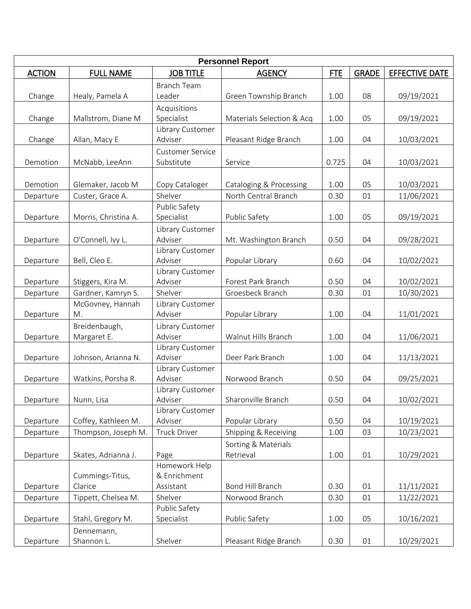|               | <b>Personnel Report</b>      |                                            |                                  |            |              |                |  |
|---------------|------------------------------|--------------------------------------------|----------------------------------|------------|--------------|----------------|--|
| <b>ACTION</b> | <b>FULL NAME</b>             | <b>JOB TITLE</b>                           | <b>AGENCY</b>                    | <b>FTE</b> | <b>GRADE</b> | EFFECTIVE DATE |  |
| Change        | Healy, Pamela A              | <b>Branch Team</b><br>Leader               | Green Township Branch            | 1.00       | 08           | 09/19/2021     |  |
| Change        | Mallstrom, Diane M           | Acquisitions<br>Specialist                 | Materials Selection & Acq        | 1.00       | 05           | 09/19/2021     |  |
| Change        | Allan, Macy E                | Library Customer<br>Adviser                | Pleasant Ridge Branch            | 1.00       | 04           | 10/03/2021     |  |
| Demotion      | McNabb, LeeAnn               | <b>Customer Service</b><br>Substitute      | Service                          | 0.725      | 04           | 10/03/2021     |  |
| Demotion      | Glemaker, Jacob M            | Copy Cataloger                             | Cataloging & Processing          | 1.00       | 05           | 10/03/2021     |  |
| Departure     | Custer, Grace A.             | Shelver                                    | North Central Branch             | 0.30       | 01           | 11/06/2021     |  |
| Departure     | Morris, Christina A.         | Public Safety<br>Specialist                | Public Safety                    | 1.00       | 05           | 09/19/2021     |  |
| Departure     | O'Connell, Ivy L.            | Library Customer<br>Adviser                | Mt. Washington Branch            | 0.50       | 04           | 09/28/2021     |  |
| Departure     | Bell, Cleo E.                | Library Customer<br>Adviser                | Popular Library                  | 0.60       | 04           | 10/02/2021     |  |
| Departure     | Stiggers, Kira M.            | Library Customer<br>Adviser                | Forest Park Branch               | 0.50       | 04           | 10/02/2021     |  |
| Departure     | Gardner, Kamryn S.           | Shelver                                    | Groesbeck Branch                 | 0.30       | 01           | 10/30/2021     |  |
| Departure     | McGovney, Hannah<br>M.       | Library Customer<br>Adviser                | Popular Library                  | 1.00       | 04           | 11/01/2021     |  |
| Departure     | Breidenbaugh,<br>Margaret E. | Library Customer<br>Adviser                | Walnut Hills Branch              | 1.00       | 04           | 11/06/2021     |  |
| Departure     | Johnson, Arianna N.          | Library Customer<br>Adviser                | Deer Park Branch                 | 1.00       | 04           | 11/13/2021     |  |
| Departure     | Watkins, Porsha R.           | Library Customer<br>Adviser                | Norwood Branch                   | 0.50       | 04           | 09/25/2021     |  |
| Departure     | Nunn, Lisa                   | Library Customer<br>Adviser                | Sharonville Branch               | 0.50       | 04           | 10/02/2021     |  |
| Departure     | Coffey, Kathleen M.          | Library Customer<br>Adviser                | Popular Library                  | 0.50       | 04           | 10/19/2021     |  |
| Departure     | Thompson, Joseph M.          | <b>Truck Driver</b>                        | Shipping & Receiving             | 1.00       | 03           | 10/23/2021     |  |
| Departure     | Skates, Adrianna J.          | Page                                       | Sorting & Materials<br>Retrieval | 1.00       | 01           | 10/29/2021     |  |
| Departure     | Cummings-Titus,<br>Clarice   | Homework Help<br>& Enrichment<br>Assistant | Bond Hill Branch                 | 0.30       | 01           | 11/11/2021     |  |
| Departure     | Tippett, Chelsea M.          | Shelver                                    | Norwood Branch                   | 0.30       | 01           | 11/22/2021     |  |
| Departure     | Stahl, Gregory M.            | Public Safety<br>Specialist                | Public Safety                    | 1.00       | 05           | 10/16/2021     |  |
| Departure     | Dennemann,<br>Shannon L.     | Shelver                                    | Pleasant Ridge Branch            | 0.30       | 01           | 10/29/2021     |  |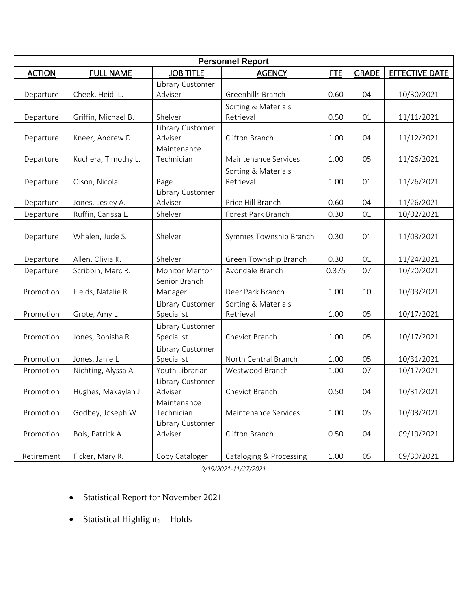|                      |                     |                          | <b>Personnel Report</b> |            |              |                |  |
|----------------------|---------------------|--------------------------|-------------------------|------------|--------------|----------------|--|
| <b>ACTION</b>        | <b>FULL NAME</b>    | <b>JOB TITLE</b>         | <b>AGENCY</b>           | <b>FTE</b> | <b>GRADE</b> | EFFECTIVE DATE |  |
|                      |                     | Library Customer         |                         |            |              |                |  |
| Departure            | Cheek, Heidi L.     | Adviser                  | Greenhills Branch       | 0.60       | 04           | 10/30/2021     |  |
|                      |                     |                          | Sorting & Materials     |            |              |                |  |
| Departure            | Griffin, Michael B. | Shelver                  | Retrieval               | 0.50       | 01           | 11/11/2021     |  |
|                      |                     | Library Customer         |                         |            |              |                |  |
| Departure            | Kneer, Andrew D.    | Adviser                  | Clifton Branch          | 1.00       | 04           | 11/12/2021     |  |
|                      |                     | Maintenance              |                         |            |              |                |  |
| Departure            | Kuchera, Timothy L. | Technician               | Maintenance Services    | 1.00       | 05           | 11/26/2021     |  |
|                      |                     |                          | Sorting & Materials     |            |              |                |  |
| Departure            | Olson, Nicolai      | Page<br>Library Customer | Retrieval               | 1.00       | 01           | 11/26/2021     |  |
| Departure            | Jones, Lesley A.    | Adviser                  | Price Hill Branch       | 0.60       | 04           | 11/26/2021     |  |
| Departure            | Ruffin, Carissa L.  | Shelver                  | Forest Park Branch      | 0.30       | 01           | 10/02/2021     |  |
|                      |                     |                          |                         |            |              |                |  |
|                      | Whalen, Jude S.     | Shelver                  | Symmes Township Branch  | 0.30       | 01           |                |  |
| Departure            |                     |                          |                         |            |              | 11/03/2021     |  |
| Departure            | Allen, Olivia K.    | Shelver                  | Green Township Branch   | 0.30       | 01           | 11/24/2021     |  |
|                      | Scribbin, Marc R.   | <b>Monitor Mentor</b>    | Avondale Branch         | 0.375      | 07           | 10/20/2021     |  |
| Departure            |                     | Senior Branch            |                         |            |              |                |  |
| Promotion            | Fields, Natalie R   | Manager                  | Deer Park Branch        | 1.00       | 10           | 10/03/2021     |  |
|                      |                     | Library Customer         | Sorting & Materials     |            |              |                |  |
| Promotion            | Grote, Amy L        | Specialist               | Retrieval               | 1.00       | 05           | 10/17/2021     |  |
|                      |                     | Library Customer         |                         |            |              |                |  |
| Promotion            | Jones, Ronisha R    | Specialist               | Cheviot Branch          | 1.00       | 05           | 10/17/2021     |  |
|                      |                     | Library Customer         |                         |            |              |                |  |
| Promotion            | Jones, Janie L      | Specialist               | North Central Branch    | 1.00       | 05           | 10/31/2021     |  |
| Promotion            | Nichting, Alyssa A  | Youth Librarian          | Westwood Branch         | 1.00       | 07           | 10/17/2021     |  |
|                      |                     | Library Customer         |                         |            |              |                |  |
| Promotion            | Hughes, Makaylah J  | Adviser                  | Cheviot Branch          | 0.50       | 04           | 10/31/2021     |  |
|                      |                     | Maintenance              |                         |            |              |                |  |
| Promotion            | Godbey, Joseph W    | Technician               | Maintenance Services    | 1.00       | 05           | 10/03/2021     |  |
|                      |                     | Library Customer         |                         |            |              |                |  |
| Promotion            | Bois, Patrick A     | Adviser                  | Clifton Branch          | 0.50       | 04           | 09/19/2021     |  |
|                      |                     |                          |                         |            |              |                |  |
| Retirement           | Ficker, Mary R.     | Copy Cataloger           | Cataloging & Processing | 1.00       | 05           | 09/30/2021     |  |
| 9/19/2021-11/27/2021 |                     |                          |                         |            |              |                |  |

- Statistical Report for November 2021
- Statistical Highlights Holds